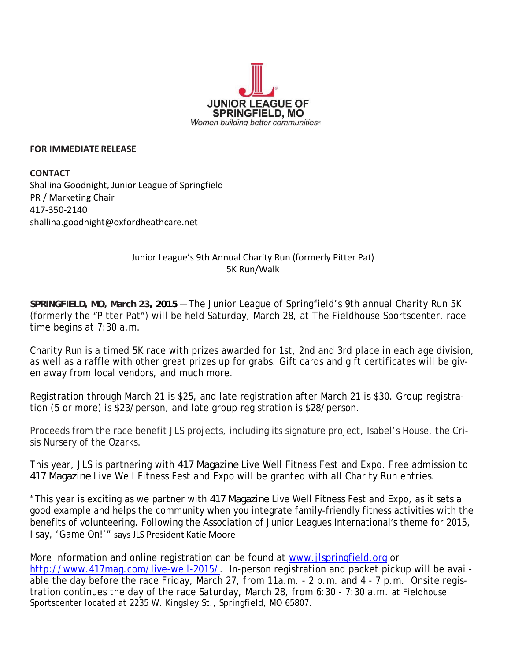

## **FOR IMMEDIATE RELEASE**

**CONTACT** Shallina Goodnight, Junior League of Springfield PR / Marketing Chair 417‐350‐2140 shallina.goodnight@oxfordheathcare.net

## Junior League's 9th Annual Charity Run (formerly Pitter Pat) 5K Run/Walk

**SPRINGFIELD, MO, March 23, 2015** — The Junior League of Springfield's 9th annual Charity Run 5K (formerly the "Pitter Pat") will be held Saturday, March 28, at The Fieldhouse Sportscenter, race time begins at 7:30 a.m.

Charity Run is a timed 5K race with prizes awarded for 1st, 2nd and 3rd place in each age division, as well as a raffle with other great prizes up for grabs. Gift cards and gift certificates will be given away from local vendors, and much more.

Registration through March 21 is \$25, and late registration after March 21 is \$30. Group registration (5 or more) is \$23/person, and late group registration is \$28/person.

Proceeds from the race benefit JLS projects, including its signature project, Isabel's House, the Crisis Nursery of the Ozarks.

This year, JLS is partnering with *417 Magazine* Live Well Fitness Fest and Expo. Free admission to *417 Magazine* Live Well Fitness Fest and Expo will be granted with all Charity Run entries.

"This year is exciting as we partner with *417 Magazine* Live Well Fitness Fest and Expo, as it sets a good example and helps the community when you integrate family-friendly fitness activities with the benefits of volunteering. Following the Association of Junior Leagues International's theme for 2015, I say, 'Game On!'" says JLS President Katie Moore

More information and online registration can be found at www.jlspringfield.org or http://www.417mag.com/live-well-2015/. In-person registration and packet pickup will be available the day before the race Friday, March 27, from 11a.m. - 2 p.m. and 4 - 7 p.m. Onsite registration continues the day of the race Saturday, March 28, from 6:30 - 7:30 a.m. at Fieldhouse Sportscenter located at 2235 W. Kingsley St., Springfield, MO 65807.